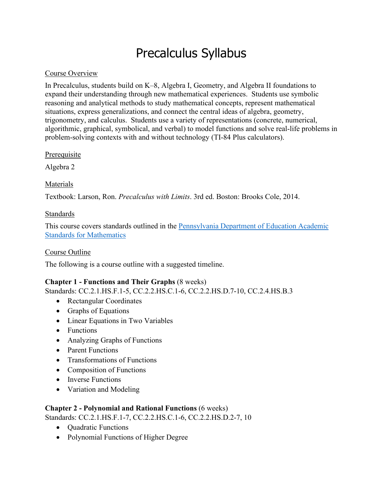# Precalculus Syllabus

## Course Overview

In Precalculus, students build on K–8, Algebra I, Geometry, and Algebra II foundations to expand their understanding through new mathematical experiences. Students use symbolic reasoning and analytical methods to study mathematical concepts, represent mathematical situations, express generalizations, and connect the central ideas of algebra, geometry, trigonometry, and calculus. Students use a variety of representations (concrete, numerical, algorithmic, graphical, symbolical, and verbal) to model functions and solve real-life problems in problem-solving contexts with and without technology (TI-84 Plus calculators).

## **Prerequisite**

Algebra 2

## Materials

Textbook: Larson, Ron. *Precalculus with Limits*. 3rd ed. Boston: Brooks Cole, 2014.

## Standards

This course covers standards outlined in the Pennsylvania Department of Education Academic Standards for Mathematics

## Course Outline

The following is a course outline with a suggested timeline.

## **Chapter 1 - Functions and Their Graphs** (8 weeks)

Standards: CC.2.1.HS.F.1-5, CC.2.2.HS.C.1-6, CC.2.2.HS.D.7-10, CC.2.4.HS.B.3

- Rectangular Coordinates
- Graphs of Equations
- Linear Equations in Two Variables
- Functions
- Analyzing Graphs of Functions
- Parent Functions
- Transformations of Functions
- Composition of Functions
- Inverse Functions
- Variation and Modeling

#### **Chapter 2 - Polynomial and Rational Functions** (6 weeks)

Standards: CC.2.1.HS.F.1-7, CC.2.2.HS.C.1-6, CC.2.2.HS.D.2-7, 10

- Ouadratic Functions
- Polynomial Functions of Higher Degree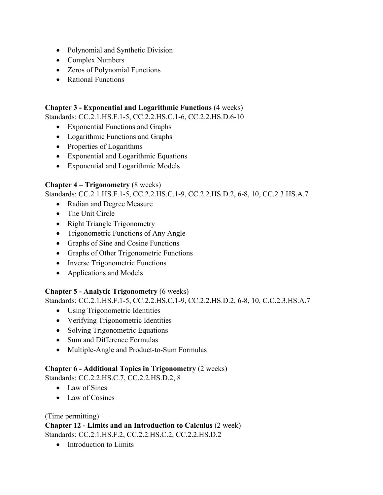- Polynomial and Synthetic Division
- Complex Numbers
- Zeros of Polynomial Functions
- Rational Functions

## **Chapter 3 - Exponential and Logarithmic Functions** (4 weeks)

Standards: CC.2.1.HS.F.1-5, CC.2.2.HS.C.1-6, CC.2.2.HS.D.6-10

- Exponential Functions and Graphs
- Logarithmic Functions and Graphs
- Properties of Logarithms
- Exponential and Logarithmic Equations
- Exponential and Logarithmic Models

# **Chapter 4 – Trigonometry** (8 weeks)

Standards: CC.2.1.HS.F.1-5, CC.2.2.HS.C.1-9, CC.2.2.HS.D.2, 6-8, 10, CC.2.3.HS.A.7

- Radian and Degree Measure
- The Unit Circle
- Right Triangle Trigonometry
- Trigonometric Functions of Any Angle
- Graphs of Sine and Cosine Functions
- Graphs of Other Trigonometric Functions
- Inverse Trigonometric Functions
- Applications and Models

## **Chapter 5 - Analytic Trigonometry** (6 weeks)

Standards: CC.2.1.HS.F.1-5, CC.2.2.HS.C.1-9, CC.2.2.HS.D.2, 6-8, 10, C.C.2.3.HS.A.7

- Using Trigonometric Identities
- Verifying Trigonometric Identities
- Solving Trigonometric Equations
- Sum and Difference Formulas
- Multiple-Angle and Product-to-Sum Formulas

## **Chapter 6 - Additional Topics in Trigonometry** (2 weeks)

Standards: CC.2.2.HS.C.7, CC.2.2.HS.D.2, 8

- Law of Sines
- Law of Cosines

## (Time permitting)

**Chapter 12 - Limits and an Introduction to Calculus** (2 week) Standards: CC.2.1.HS.F.2, CC.2.2.HS.C.2, CC.2.2.HS.D.2

• Introduction to Limits